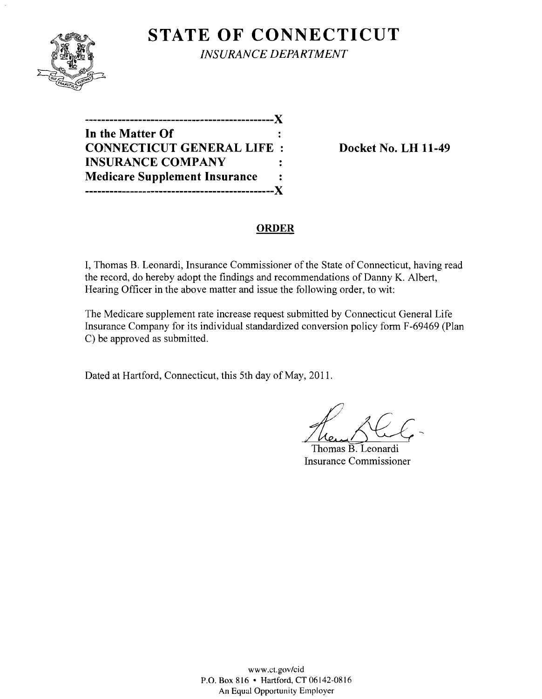

**STATE OF CONNECTICUT** *INSURANCE DEPARTMENT* 

| ------------------------             |                |
|--------------------------------------|----------------|
| In the Matter Of                     |                |
| <b>CONNECTICUT GENERAL LIFE:</b>     |                |
| <b>INSURANCE COMPANY</b>             |                |
| <b>Medicare Supplement Insurance</b> | $\ddot{\cdot}$ |
| ,,,,,,,,,,,,,,,,,,,,,,,              |                |

**Docket No. LH 11-49** 

### **ORDER**

I, Thomas B. Leonardi, Insurance Commissioner of the State of Connecticut, having read the record, do hereby adopt the findings and recommendations of Danny K. Albert, Hearing Officer in the above matter and issue the following order, to wit:

The Medicare supplement rate increase request submitted by Connecticut General Life Insurance Company for its individual standardized conversion policy form F-69469 (Plan C) be approved as submitted.

Dated at Hartford, Connecticut, this 5th day of May, 2011.

Thomas B. Leonardi Insurance Commissioner

www.ct.gov/cid P.O. Box 816 • Hartford, CT 06142-0816 An Equal Opportunity Employer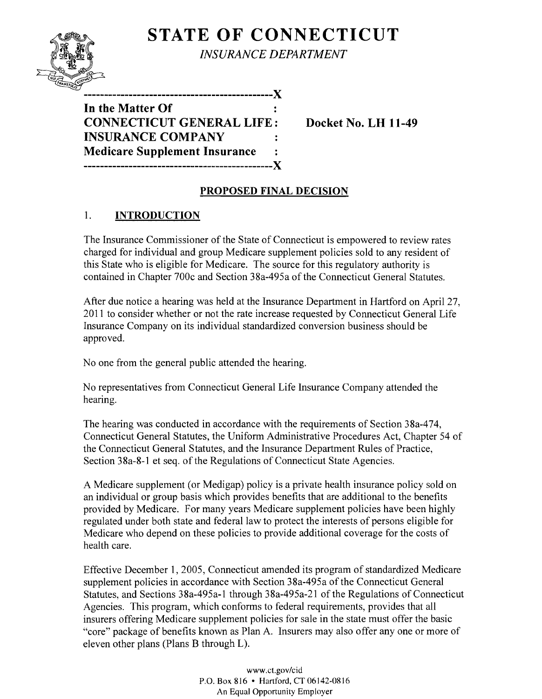# **STATE OF CONNECTICUT**



*INSURANCE DEPARTMENT* 

**----------------------------------------------)( In the Matter Of CONNECTICUT GENERAL LIFE: Docket No. LH 11-49 INSURANCE COMPANY Medicare Supplement Insurance ----------------------------------------------)(** 

# **PROPOSED FINAL DECISION**

## 1. **INTRODUCTION**

The Insurance Commissioner of the State of Connecticut is empowered to review rates charged for individual and group Medicare supplement policies sold to any resident of this State who is eligible for Medicare. The source for this regulatory authority is contained in Chapter 700c and Section 38a-495a of the Connecticut General Statutes.

After due notice a hearing was held at the Insurance Department in Hartford on April 27, 2011 to consider whether or not the rate increase requested by Connecticut General Life Insurance Company on its individual standardized conversion business should be approved.

No one from the general public attended the hearing.

No representatives from Connecticut General Life Insurance Company attended the hearing.

The hearing was conducted in accordance with the requirements of Section 38a-474, Connecticut General Statutes, the Uniform Administrative Procedures Act, Chapter 54 of the Connecticut General Statutes, and the Insurance Department Rules of Practice, Section 38a-8-1 et seq. of the Regulations of Connecticut State Agencies.

A Medicare supplement (or Medigap) policy is a private health insurance policy sold on an individual or group basis which provides benefits that are additional to the benefits provided by Medicare. For many years Medicare supplement policies have been highly regulated under both state and federal law to protect the interests of persons eligible for Medicare who depend on these policies to provide additional coverage for the costs of health care.

Effective December 1,2005, Connecticut amended its program of standardized Medicare supplement policies in accordance with Section 38a-495a of the Connecticut General Statutes, and Sections 38a-495a-1 through 38a-495a-21 of the Regulations of Connecticut Agencies. This program, which conforms to federal requirements, provides that all insurers offering Medicare supplement policies for sale in the state must offer the basic "core" package of benefits known as Plan A. Insurers may also offer anyone or more of eleven other plans (Plans B through L).

> www.ct.gov/cid P.O. Box 816 • Hartford, CT 06142-0816 An Equal Opportunity Employer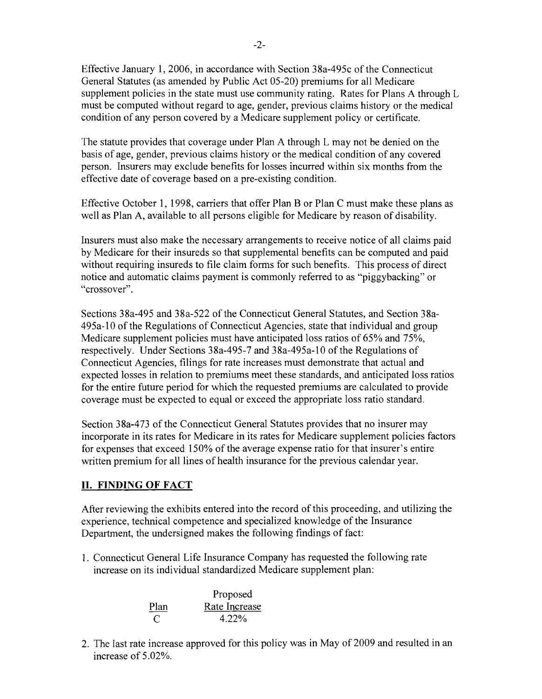Effective January 1,2006, in accordance with Section 38a-495c of the Connecticut General Statutes (as amended by Public Act 05-20) premiums for all Medicare supplement policies in the state must use community rating. Rates for Plans A through L must be computed without regard to age, gender, previous claims history or the medical condition of any person covered by a Medicare supplement policy or certificate.

The statute provides that coverage under Plan A through L may not be denied on the basis of age, gender, previous claims history or the medical condition of any covered person. Insurers may exclude benefits for losses incurred within six months from the effective date of coverage based on a pre-existing condition.

Effective October 1, 1998, carriers that offer Plan B or Plan C must make these plans as well as Plan A, available to all persons eligible for Medicare by reason of disability.

Insurers must also make the necessary arrangements to receive notice of all claims paid by Medicare for their insureds so that supplemental benefits can be computed and paid without requiring insureds to file claim forms for such benefits. This process of direct notice and automatic claims payment is commonly referred to as "piggybacking" or "crossover".

Sections 38a-495 and 38a-522 of the Connecticut General Statutes, and Section 38a-495a-10 of the Regulations of Connecticut Agencies, state that individual and group Medicare supplement policies must have anticipated loss ratios of 65% and 75%, respectively. Under Sections 38a-495-7 and 38a-495a-10 of the Regulations of Connecticut Agencies, filings for rate increases must demonstrate that actual and expected losses in relation to premiums meet these standards, and anticipated loss ratios for the entire future period for which the requested premiums are calculated to provide coverage must be expected to equal or exceed the appropriate loss ratio standard.

Section 38a-473 of the Connecticut General Statutes provides that no insurer may incorporate in its rates for Medicare in its rates for Medicare supplement policies factors for expenses that exceed 150% of the average expense ratio for that insurer's entire written premium for all lines of health insurance for the previous calendar year.

### **II. FINDING OF FACT**

After reviewing the exhibits entered into the record of this proceeding, and utilizing the experience, technical competence and specialized knowledge of the Insurance Department, the undersigned makes the following findings of fact:

1. Connecticut General Life Insurance Company has requested the following rate increase on its individual standardized Medicare supplement plan:

|      | Proposed      |  |
|------|---------------|--|
| Plan | Rate Increase |  |
| €    | $4.22\%$      |  |

2. The last rate increase approved for this policy was in May of 2009 and resulted in an increase of 5.02%.